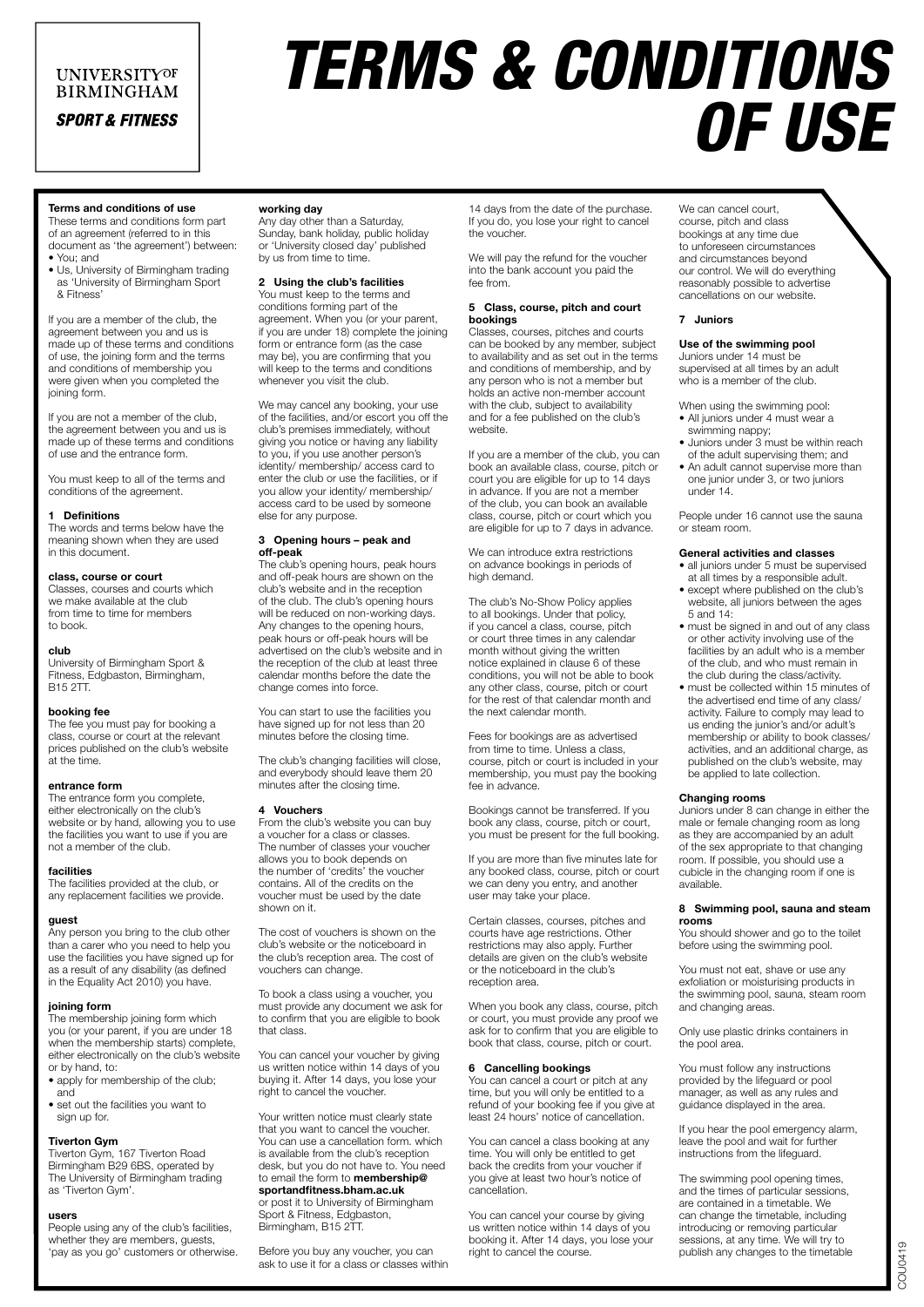### **UNIVERSITYOF BIRMINGHAM**

**SPORT & FITNESS** 

# *TERMS & CONDITIONS OF USE*

Terms and conditions of use These terms and conditions form part of an agreement (referred to in this

document as 'the agreement') between: • You; and

• Us, University of Birmingham trading as 'University of Birmingham Sport & Fitness'

If you are a member of the club, the agreement between you and us is made up of these terms and conditions of use, the joining form and the terms and conditions of membership you were given when you completed the joining form.

If you are not a member of the club, the agreement between you and us is made up of these terms and conditions of use and the entrance form.

You must keep to all of the terms and conditions of the agreement.

#### **Definitions**

The words and terms below have the meaning shown when they are used in this document.

#### class, course or court

Classes, courses and courts which we make available at the club from time to time for members to book.

#### club

University of Birmingham Sport & Fitness, Edgbaston, Birmingham, B15 2TT.

#### booking fee

The fee you must pay for booking a class, course or court at the relevant prices published on the club's website at the time.

#### entrance form

The entrance form you complete, either electronically on the club's website or by hand, allowing you to use the facilities you want to use if you are not a member of the club.

#### facilities

The facilities provided at the club, or any replacement facilities we provide.

#### guest

Any person you bring to the club other than a carer who you need to help you use the facilities you have signed up for as a result of any disability (as defined in the Equality Act 2010) you have.

#### joining form

The membership joining form which you (or your parent, if you are under 18 when the membership starts) complete. either electronically on the club's website or by hand, to:

- apply for membership of the club; and
- set out the facilities you want to sign up for.

#### Tiverton Gym

Tiverton Gym, 167 Tiverton Road Birmingham B29 6BS, operated by The University of Birmingham trading as 'Tiverton Gym'.

#### users

People using any of the club's facilities, whether they are members, guests, 'pay as you go' customers or otherwise.

# working day Any day other than a Saturday,

Sunday, bank holiday, public holiday or 'University closed day' published by us from time to time.

# 2 Using the club's facilities

You must keep to the terms and conditions forming part of the agreement. When you (or your parent, if you are under 18) complete the joining form or entrance form (as the case may be), you are confirming that you will keep to the terms and conditions whenever you visit the club.

We may cancel any booking, your use of the facilities, and/or escort you off the club's premises immediately, without giving you notice or having any liability to you, if you use another person's identity/ membership/ access card to enter the club or use the facilities, or if you allow your identity/ membership/ access card to be used by someone else for any purpose.

#### 3 Opening hours – peak and off-peak

The club's opening hours, peak hours and off-peak hours are shown on the club's website and in the reception of the club. The club's opening hours will be reduced on non-working days. Any changes to the opening hours, peak hours or off-peak hours will be advertised on the club's website and in the reception of the club at least three calendar months before the date the change comes into force.

You can start to use the facilities you have signed up for not less than 20 minutes before the closing time.

The club's changing facilities will close, and everybody should leave them 20 minutes after the closing time.

#### 4 Vouchers

From the club's website you can buy a voucher for a class or classes. The number of classes your voucher allows you to book depends on the number of 'credits' the voucher contains. All of the credits on the voucher must be used by the date shown on it.

The cost of vouchers is shown on the club's website or the noticeboard in the club's reception area. The cost of vouchers can change.

To book a class using a voucher, you must provide any document we ask for to confirm that you are eligible to book that class.

You can cancel your voucher by giving us written notice within 14 days of you buying it. After 14 days, you lose your right to cancel the voucher.

Your written notice must clearly state that you want to cancel the voucher. You can use a cancellation form. which is available from the club's reception desk, but you do not have to. You need to email the form to **membership@** sportandfitness.bham.ac.uk

or post it to University of Birmingham Sport & Fitness, Edgbaston, Birmingham, B15 2TT.

Before you buy any voucher, you can ask to use it for a class or classes within

14 days from the date of the purchase. If you do, you lose your right to cancel the voucher.

We will pay the refund for the voucher into the bank account you paid the fee from.

#### 5 Class, course, pitch and court bookings

Classes, courses, pitches and courts can be booked by any member, subject to availability and as set out in the terms and conditions of membership, and by any person who is not a member but holds an active non-member account with the club, subject to availability and for a fee published on the club's website.

If you are a member of the club, you can book an available class, course, pitch or court you are eligible for up to 14 days in advance. If you are not a member of the club, you can book an available class, course, pitch or court which you are eligible for up to 7 days in advance.

We can introduce extra restrictions on advance bookings in periods of high demand.

The club's No-Show Policy applies to all bookings. Under that policy, if you cancel a class, course, pitch or court three times in any calendar month without giving the written notice explained in clause 6 of these conditions, you will not be able to book any other class, course, pitch or court for the rest of that calendar month and the next calendar month.

Fees for bookings are as advertised from time to time. Unless a class, course, pitch or court is included in your membership, you must pay the booking fee in advance.

Bookings cannot be transferred. If you book any class, course, pitch or court, you must be present for the full booking.

If you are more than five minutes late for any booked class, course, pitch or court we can deny you entry, and another user may take your place.

Certain classes, courses, pitches and courts have age restrictions. Other restrictions may also apply. Further details are given on the club's website or the noticeboard in the club's reception area.

When you book any class, course, pitch or court, you must provide any proof we ask for to confirm that you are eligible to book that class, course, pitch or court.

#### 6 Cancelling bookings

You can cancel a court or pitch at any time, but you will only be entitled to a refund of your booking fee if you give at least 24 hours' notice of cancellation.

You can cancel a class booking at any time. You will only be entitled to get back the credits from your voucher if you give at least two hour's notice of cancellation.

You can cancel your course by giving us written notice within 14 days of you booking it. After 14 days, you lose your right to cancel the course.

We can cancel court, course, pitch and class bookings at any time due to unforeseen circumstances and circumstances beyond our control. We will do everything reasonably possible to advertise cancellations on our website.

#### 7 Juniors

#### Use of the swimming pool

Juniors under 14 must be supervised at all times by an adult who is a member of the club.

- When using the swimming pool: • All juniors under 4 must wear a swimming nappy;
- Juniors under 3 must be within reach of the adult supervising them; and
- An adult cannot supervise more than one junior under 3, or two juniors under 14.

People under 16 cannot use the sauna or steam room.

#### General activities and classes

- all juniors under 5 must be supervised at all times by a responsible adult.
- except where published on the club's website, all juniors between the ages 5 and 14:
- must be signed in and out of any class or other activity involving use of the facilities by an adult who is a member of the club, and who must remain in the club during the class/activity.
- must be collected within 15 minutes of the advertised end time of any class/ activity. Failure to comply may lead to us ending the junior's and/or adult's membership or ability to book classes/ activities, and an additional charge, as published on the club's website, may be applied to late collection.

#### Changing rooms

Juniors under 8 can change in either the male or female changing room as long as they are accompanied by an adult of the sex appropriate to that changing room. If possible, you should use a cubicle in the changing room if one is available.

#### 8 Swimming pool, sauna and steam rooms

You should shower and go to the toilet before using the swimming pool.

You must not eat, shave or use any exfoliation or moisturising products in the swimming pool, sauna, steam room and changing areas.

Only use plastic drinks containers in the pool area.

You must follow any instructions provided by the lifeguard or pool manager, as well as any rules and guidance displayed in the area.

If you hear the pool emergency alarm, leave the pool and wait for further instructions from the lifeguard.

The swimming pool opening times, and the times of particular sessions, are contained in a timetable. We can change the timetable, including introducing or removing particular sessions, at any time. We will try to publish any changes to the timetable